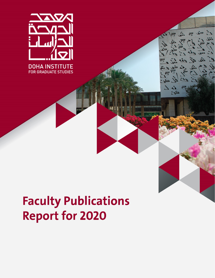

# **Faculty Publications Report for 2020**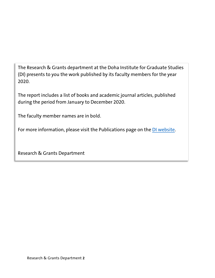The Research & Grants department at the Doha Institute for Graduate Studies (DI) presents to you the work published by its faculty members for the year 2020.

The report includes a list of books and academic journal articles, published during the period from January to December 2020.

The faculty member names are in bold.

For more information, please visit the Publications page on the [DI website.](https://www.dohainstitute.edu.qa/EN/Research/FR/Pages/Publications.aspx)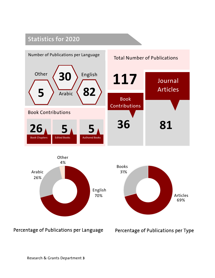### **Statistics for 2020**



Percentage of Publications per Language

Percentage of Publications per Type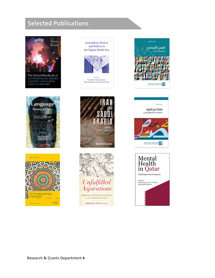## **Selected Publications**



CONTEMPORARY MIDDLE<br>EASTERN AND NORTH<br>AFRICAN HISTORY





Journalism, Society and Politics in the Digital Media Era



-<br>Nael Jebril, Stephen Jukes,<br>Sofia Iordanidou, Emmanouil Takas











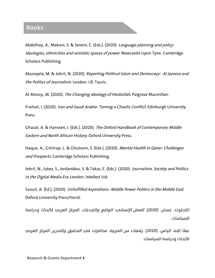#### **Books**

Abdelhay, A., Makoni, S. & Severo, C. (Eds.). (2020). Language planning and policy: Ideologies, ethnicities and semiotic spaces of power. Newcastle Upon Tyne: Cambridge Scholars Publishing.

Abunajela, M. & Jebril, N. (2020). Reporting Political Islam and Democracy: Al Jazeera and the Politics of Journalism. London: I.B. Tauris.

Al-Aloosy, M. (2020). The Changing Ideology of Hezbollah. Palgrave Macmillan.

Fraihat, I. (2020). Iran and Saudi Arabia: Taming a Chaotic Conflict. Edinburgh University Press.

Ghazal, A. & Hanssen, J. (Eds.). (2020). The Oxford Handbook of Contemporary Middle Eastern and North African History. Oxford University Press.

Haque, A., Gilstrap, L. & Ghuloum, S. (Eds.). (2020). Mental Health in Qatar: Challenges and Prospects. Cambridge Scholars Publishing.

Jebril, N., Jukes, S., Iordanidou, S. & Takas, E. (Eds.). (2020). Journalism, Society and Politics in the Digital Media Era. London: Intellect Ltd.

Saouli, A. (Ed.). (2020). Unfulfilled Aspirations: Middle Power Politics in the Middle East. Oxford University Press/Hurst.

الكحلوت، غسان. (2020). *العمل الإنساني: الواقع والتحديات.* المركز العربي للأبحاث ودراسة السياسات.

عطا الله، الياس. (2020). *رشفات من العربية: محاضرات في التدقيق والتحرير.* المركز العربي للأبحاث ودراسة السياسات.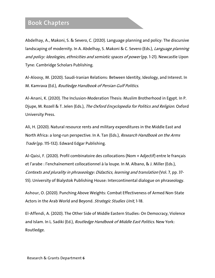#### **Book Chapters**

Abdelhay, A., Makoni, S. & Severo, C. (2020). Language planning and policy: The discursive landscaping of modernity. In A. Abdelhay, S. Makoni & C. Severo (Eds.), Language planning and policy: Ideologies, ethnicities and semiotic spaces of power (pp. 1-21). Newcastle Upon Tyne: Cambridge Scholars Publishing.

Al-Aloosy, M. (2020). Saudi-Iranian Relations: Between Identity, Ideology, and Interest. In M. Kamrava (Ed.), Routledge Handbook of Persian Gulf Politics.

Al-Anani, K. (2020). The Inclusion-Moderation Thesis: Muslim Brotherhood in Egypt. In P. Djupe, M. Rozell & T. Jelen (Eds.), The Oxford Encyclopedia for Politics and Religion. Oxford University Press.

Ali, H. (2020). Natural resource rents and military expenditures in the Middle East and North Africa: a long-run perspective. In A. Tan (Eds.), Research Handbook on the Arms Trade (pp. 115-132). Edward Edgar Publishing.

Al-Qaisi, F. (2020). Profil combinatoire des collocations (Nom + Adjectif) entre le français et l'arabe : l'enchaînement collocationnel à la loupe. In M. Albano, & J. Miller (Eds.), Contexts and plurality in phraseology: Didactics, learning and translation (Vol. 7, pp. 37- 55). University of Bialystok Publishing House: Intercontinental dialogue on phraseology.

Ashour, O. (2020). Punching Above Weights: Combat Effectiveness of Armed Non-State Actors in the Arab World and Beyond. Strategic Studies Unit, 1-18.

El-Affendi, A. (2020). The Other Side of Middle Eastern Studies: On Democracy, Violence and Islam. In L. Sadiki (Ed.), *Routledge Handbook of Middle East Politics*. New York: Routledge.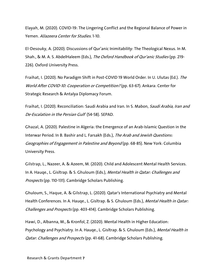Elayah, M. (2020). COVID-19: The Lingering Conflict and the Regional Balance of Power in Yemen. AlJazeera Center for Studies. 1-10.

El-Desouky, A. (2020). Discussions of Qur'anic Inimitability: The Theological Nexus. In M. Shah., & M. A. S. AbdelHaleem (Eds.), The Oxford Handbook of Qur'anic Studies (pp. 219-226). Oxford University Press.

Fraihat, I. (2020). No Paradigm Shift in Post-COVID 19 World Order. In U. Ulutas (Ed.). The World After COVID-10: Cooperation or Competition? (pp. 63-67). Ankara: Center for Strategic Research & Antalya Diplomacy Forum.

Fraihat, I. (2020). Reconciliation: Saudi Arabia and Iran. In S. Mabon, *Saudi Arabia, Iran and* De-Escalation in the Persian Gulf (54-58). SEPAD.

Ghazal, A. (2020). Palestine in Algeria: the Emergence of an Arab-Islamic Question in the Interwar Period. In B. Bashir and L. Farsakh (Eds.), The Arab and Jewish Questions: Geographies of Engagement in Palestine and Beyond (pp. 68-85). New York: Columbia University Press.

Gilstrap, L., Nazeer, A. & Azeem, M. (2020). Child and Adolescent Mental Health Services. In A. Hauge., L. Gisltrap. & S. Ghuloum (Eds.), Mental Health in Qatar: Challenges and Prospects (pp. 110-131). Cambridge Scholars Publishing.

Ghuloum, S., Haque, A. & Gilstrap, L. (2020). Qatar's International Psychiatry and Mental Health Conferences. In A. Hauge., L. Gisltrap. & S. Ghuloum (Eds.), Mental Health in Qatar: Challenges and Prospects (pp. 403-414). Cambridge Scholars Publishing.

Hawi, D., Albanna, M., & Kronfol, Z. (2020). Mental Health in Higher Education: Psychology and Psychiatry. In A. Hauge., L. Gisltrap. & S. Ghuloum (Eds.), Mental Health in Qatar: Challenges and Prospects (pp. 41-68). Cambridge Scholars Publishing.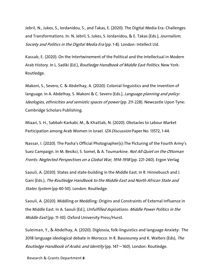Jebril, N., Jukes, S., Iordanidou, S., and Takas, E. (2020). The Digital Media Era: Challenges and Transformations. In: N. Jebril, S. Jukes, S. Iordanidou, & E. Takas (Eds.), Journalism, Society and Politics in the Digital Media Era (pp. 1-8). London: Intellect Ltd.

Kassab, E. (2020). On the Intertwinement of the Political and the Intellectual in Modern Arab History. In L. Sadiki (Ed.), *Routledge Handbook of Middle East Politics*. New York: Routledge.

Makoni, S., Severo, C. & Abdelhay, A. (2020). Colonial linguistics and the invention of language. In A. Abdelhay, S. Makoni & C. Severo (Eds.), *Language planning and policy:* Ideologies, ethnicities and semiotic spaces of power (pp. 211-228). Newcastle Upon Tyne: Cambridge Scholars Publishing.

Miaari, S. H., Sabbah-Karkabi, M., & Khattab, N. (2020). Obstacles to Labour Market Participation among Arab Women in Israel. IZA Discussion Paper No. 13572, 1-44.

Nassar, I. (2020). The Pasha's Official Photographer(s):The Picturing of the Fourth Army's Suez Campaign. In M. Besikci, S. Somel, & A. Toumarkine. Not All Quiet on the Ottoman Fronts: Neglected Perspectives on a Global War, 1914-1918 (pp. 221-240). Ergon Verlag

Saouli, A. (2020). States and state-building in the Middle East. In R. Hinnebusch and J. Gani (Eds.), The Routledge Handbook to the Middle East and North African State and States System (pp 40-50). London: Routledge.

Saouli, A. (2020). Middling or Meddling: Origins and Constraints of External Influence in the Middle East. In A. Saouli (Ed.), Unfulfilled Aspirations: Middle Power Politics in the Middle East (pp. 11-30). Oxford University Press/Hurst.

Suleiman, Y., & Abdelhay, A. (2020). Diglossia, folk-linguistics and language Anxiety: The 2018 language ideological debate in Morocco. In R. Bassiouney and K. Walters (Eds), The Routledge Handbook of Arabic and Identity (pp. 147 – 160). London: Routledge.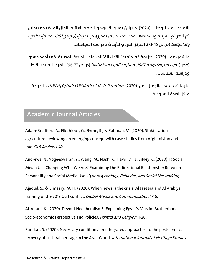الأفندي، عبد الوهاب .(2020) .حزيران/ يونيو الأسود والنهضة الغائبة: الخلل المركّب في تحليل أه الهزائم العربية وتشخيصها. في أحمد حسين (محرر)، حرب *حزيران/يونيو 1967: مسارات الحرب* و*تداعياتها* (ص ص 45-73). المركز العربي للأبحاث ودراسة السياسات.

عاشور، عمر .(2020) .هزيمة غير حتمية؟ الأداء القتالي على الجبهة المصرية. في أحمد حسين (محرر)، *حرب حزيران/يونيو 1967: مسارات الحرب وتداعياتها* (ص ص 77-96). المركز العريم للأبحاث ودراسة السياسات.

عليمات، حمود، والجمال، أمل .(2020) .مواقف الآباء تجاه المشكلات السلوكية للأبناء. الدوحة: مركز الصحة السلوكية.

#### **Academic Journal Articles**

Adam-Bradford, A., Elkahlout, G., Byrne, R., & Rahman, M. (2020). Stabilisation agriculture: reviewing an emerging concept with case studies from Afghanistan and Iraq.CAB Reviews, 42.

Andrews, N., Yogeeswaran, Y., Wang, M., Nash, K., Hawi, D., & Sibley, C. (2020). Is Social Media Use Changing Who We Are? Examining the Bidirectional Relationship Between Personality and Social Media Use. Cyberpsychology, Behavior, and Social Networking.

Ajaoud, S., & Elmasry, M. H. (2020). When news is the crisis: Al Jazeera and Al Arabiya framing of the 2017 Gulf conflict. Global Media and Communication, 1-16.

Al-Anani, K. (2020). Devout Neoliberalism?! Explaining Egypt's Muslim Brotherhood's Socio-economic Perspective and Policies. Politics and Religion, 1-20.

Barakat, S. (2020). Necessary conditions for integrated approaches to the post-conflict recovery of cultural heritage in the Arab World. International Journal of Heritage Studies.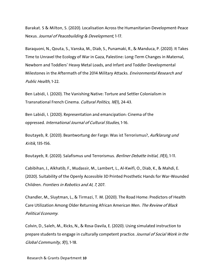Barakat. S & Milton, S. (2020). Localisation Across the Humanitarian-Development-Peace Nexus. Journal of Peacebuilding & Development, 1-17.

Baraquoni, N., Qouta, S., Vanska, M., Diab, S., Punamaki, R., & Manduca, P. (2020). It Takes Time to Unravel the Ecology of War in Gaza, Palestine: Long-Term Changes in Maternal, Newborn and Toddlers' Heavy Metal Loads, and Infant and Toddler Developmental Milestones in the Aftermath of the 2014 Military Attacks. Environmental Research and Public Health, 1-22.

Ben Labidi, I. (2020). The Vanishing Native: Torture and Settler Colonialism in Transnational French Cinema. Cultural Politics, 16(1), 24-43.

Ben Labidi, I. (2020). Representation and emancipation: Cinema of the oppressed. International Journal of Cultural Studies, 1-16.

Boutayeb, R. (2020). Beantwortung der Farge: Was ist Terrorismus?, Aufklarung und Kritik, 135-156.

Boutayeb, R. (2020). Salafismus und Terrorismus. Berliner Debatte Initial, 31(3), 1-11.

Cabibihan, J., Alkhatib, F., Mudassir, M., Lambert, L., Al-Kwifi, O., Diab, K., & Mahdi, E. (2020). Suitability of the Openly Accessible 3D Printed Prosthetic Hands for War-Wounded Children. Frontiers in Robotics and AI, 7, 207.

Chandler, M., Sluytman, L., & Tirmazi, T. M. (2020). The Road Home: Predictors of Health Care Utilization Among Older Returning African American Men. The Review of Black Political Economy.

Colvin, D., Saleh, M., Ricks, N., & Rosa-Davila, E. (2020). Using simulated instruction to prepare students to engage in culturally competent practice. Journal of Social Work in the Global Community, 5(1), 1-18.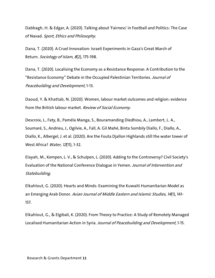Dabbagh, H. & Edgar, A. (2020). Talking about 'Fairness' in Football and Politics: The Case of Navad. Sport, Ethics and Philosophy.

Dana, T. (2020). A Cruel Innovation: Israeli Experiments in Gaza's Great March of Return. Sociology of Islam, 8(2), 175-198.

Dana, T. (2020). Localising the Economy as a Resistance Response: A Contribution to the "Resistance Economy" Debate in the Occupied Palestinian Territories. Journal of Peacebuilding and Development, 1-13.

Daoud, Y. & Khattab, N. (2020). Women, labour market outcomes and religion: evidence from the British labour market. Review of Social Economy.

Descroix, L., Faty, B., Paméla Manga, S., Bouramanding Diedhiou, A., Lambert, L. A., Soumaré, S., Andrieu, J., Ogilvie, A., Fall, A. Gil Mahé, Binta Sombily Diallo, F., Diallo, A., Diallo, K., Albergel, J. et al. (2020). Are the Fouta Djallon Highlands still the water tower of West Africa? *Water, 12*(11), 1-32.

Elayah, M., Kempen, L. V., & Schulpen, L. (2020). Adding to the Controversy? Civil Society's Evaluation of the National Conference Dialogue in Yemen. Journal of Intervention and Statebuilding.

Elkahlout, G. (2020). Hearts and Minds: Examining the Kuwaiti Humanitarian Model as an Emerging Arab Donor. Asian Journal of Middle Eastern and Islamic Studies, 14(1), 141-157.

Elkahlout, G., & Elgibali, K. (2020). From Theory to Practice: A Study of Remotely Managed Localised Humanitarian Action in Syria. Journal of Peacebuilding and Development, 1-15.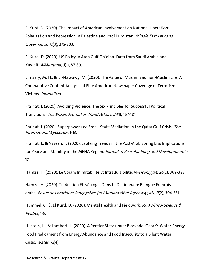El Kurd, D. (2020). The Impact of American Involvement on National Liberation: Polarization and Repression in Palestine and Iraqi Kurdistan. Middle East Law and Governance, 12(3), 275-303.

El Kurd, D. (2020). US Policy in Arab Gulf Opinion: Data from Saudi Arabia and Kuwait. AlMuntaqa, 3(1), 87-89.

Elmasry, M. H., & El-Nawawy, M. (2020). The Value of Muslim and non-Muslim Life: A Comparative Content Analysis of Elite American Newspaper Coverage of Terrorism Victims. Journalism.

Fraihat, I. (2020). Avoiding Violence: The Six Principles for Successful Political Transitions. The Brown Journal of World Affairs, 27(1), 167-181.

Fraihat, I. (2020). Superpower and Small-State Mediation in the Qatar Gulf Crisis. The International Spectator, 1-13.

Fraihat, I., & Yaseen, T. (2020). Evolving Trends in the Post-Arab Spring Era: Implications for Peace and Stability in the MENA Region. Journal of Peacebuilding and Development, 1-17.

Hamze, H. (2020). Le Coran: Inimitabilité Et Intraduisibilité. Al-*Lisaniyyat, 26*(2), 369-383.

Hamze, H. (2020). Traduction Et Néologie Dans Le Dictionnaire Bilingue Françaisarabe. Revue des pratiques langagières (al-Mumarasât al-lughawiyyat), <sup>11</sup>(2), 304-331.

Hummel, C., & El Kurd, D. (2020). Mental Health and Fieldwork. PS: Political Science & Politics, 1-5.

Hussein, H., & Lambert, L. (2020). A Rentier State under Blockade: Qatar's Water-Energy-Food Predicament from Energy Abundance and Food Insecurity to a Silent Water Crisis. Water, 12(4).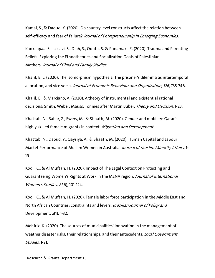Kamal, S., & Daoud, Y. (2020). Do country level constructs affect the relation between self-efficacy and fear of failure? Journal of Entrepreneurship in Emerging Economies.

Kankaapaa, S., Isosavi, S., Diab, S., Qouta, S. & Punamaki, R. (2020). Trauma and Parenting Beliefs: Exploring the Ethnotheories and Socialization Goals of Palestinian Mothers. Journal of Child and Family Studies.

Khalil, E. L. (2020). The isomorphism hypothesis: The prisoner's dilemma as intertemporal allocation, and vice versa. Journal of Economic Behaviour and Organization, 176, 735-746.

Khalil, E., & Marciano, A. (2020). A theory of instrumental and existential rational decisions: Smith, Weber, Mauss, Tönnies after Martin Buber. Theory and Decision, 1-23.

Khattab, N., Babar, Z., Ewers, M., & Shaath, M. (2020). Gender and mobility: Qatar's highly skilled female migrants in context. Migration and Development.

Khattab, N., Daoud, Y., Qaysiya, A., & Shaath, M. (2020). Human Capital and Labour Market Performance of Muslim Women in Australia. Journal of Muslim Minority Affairs, 1-19.

Kooli, C., & Al Muftah, H. (2020). Impact of The Legal Context on Protecting and Guaranteeing Women's Rights at Work in the MENA region. Journal of International Women's Studies, 21(6), 101-124.

Kooli, C., & Al Muftah, H. (2020). Female labor force participation in the Middle East and North African Countries: constraints and levers. Brazilian Journal of Policy and Development, 2(1), 1-32.

Mehiriz, K. (2020). The sources of municipalities' innovation in the management of weather disaster risks, their relationships, and their antecedents. Local Government Studies, 1-21.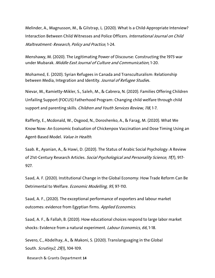Melinder, A., Magnusson, M., & Gilstrap, L. (2020). What Is a Child-Appropriate Interview? Interaction Between Child Witnesses and Police Officers. International Journal on Child Maltreatment: Research, Policy and Practice, 1-24.

Menshawy, M. (2020). The Legitimating Power of Discourse: Constructing the 1973 war under Mubarak. Middle East Journal of Culture and Communication, 1-20.

Mohamed, E. (2020). Syrian Refugees in Canada and Transculturalism: Relationship between Media, Integration and Identity. Journal of Refugee Studies.

Nievar, M., Ramietty-Mikler, S., Saleh, M., & Cabrera, N. (2020). Families Offering Children Unfailing Support (FOCUS) Fatherhood Program: Changing child welfare through child support and parenting skills. Children and Youth Services Review, 118, 1-7.

Rafferty, E., Mcdonald, W., Osgood, N., Doroshenko, A., & Farag, M. (2020). What We Know Now: An Economic Evaluation of Chickenpox Vaccination and Dose Timing Using an Agent-Based Model. Value in Health.

Saab. R., Ayanian, A., & Hawi, D. (2020). The Status of Arabic Social Psychology: A Review of 21st-Century Research Articles. Social Psychological and Personality Science, 11(7), 917-927.

Saad, A. F. (2020). Institutional Change in the Global Economy: How Trade Reform Can Be Detrimental to Welfare. Economic Modelling, <sup>95</sup>, 97-110.

Saad, A. F., (2020). The exceptional performance of exporters and labour market outcomes: evidence from Egyptian firms. Applied Economics.

Saad, A. F., & Fallah, B. (2020). How educational choices respond to large labor market shocks: Evidence from a natural experiment. *Labour Economics, 66*, 1-18.

Severo, C., Abdelhay, A., & Makoni, S. (2020). Translanguaging in the Global South. Scrutiny2, 25(1), 104-109.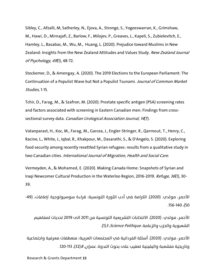Sibley, C., Afzalli, M, Satherley, N., Ejova, A., Stronge, S., Yogeeswarran, K., Grimshaw, M., Hawi, D., Mirnajafi, Z., Barlow, F., Milojev, P., Greaves, L., Kapeli, S., Zubielevitch, E., Hamley, L., Basabas, M., Wu, M., Huang, L. (2020). Prejudice toward Muslims in New Zealand: Insights from the New Zealand Attitudes and Values Study. New Zealand Journal of Psychology, 49(1), 48-72.

Stockemer, D., & Amengay, A. (2020). The 2019 Elections to the European Parliament: The Continuation of a Populist Wave but Not a Populist Tsunami. Journal of Common Market Studies, 1-15.

Tchir, D., Farag, M., & Szafron, M. (2020). Prostate specific antigen (PSA) screening rates and factors associated with screening in Eastern Canadian men: Findings from crosssectional survey data. Canadian Urological Association Journal, 14(7).

Vatanparast, H., Koc, M., Farag, M., Garcea, J., Engler-Stringer, R., Qarmout, T., Henry, C., Racine, L., White, J., Iqbal, R., Khakpour, M., Dasarathi, S., & D'Angelo, S. (2020). Exploring food security among recently resettled Syrian refugees: results from a qualitative study in two Canadian cities. International Journal of Migration, Health and Social Care.

Vermeyden, A., & Mohamed, E. (2020). Making Canada Home: Snapshots of Syrian and Iraqi Newcomer Cultural Production in the Waterloo Region, 2016-2019. Refuge, 36(1), 30-39.

الأحمر، مولدب. (2020). الكرامة في أدب الثورة التونسية: قراءة سوسيولوجية .*إضافات،* (49-.156-140 ،(50

الأحمر، مولدي. (2020). الانتخابات التشريعية التونسية من 2011 الى 2019 تحديات لمفاهيم الشعبوية والحزب والزعامة. *Science Politique*، 3(1).

الأحمر، مول��. (2020). أسئلة الفردانية في المجتمعات العر�تية: منعطفات معرفية واجتماعية وتاريخية متشعبة واليقينية تعقيب علم بحوث الندوة. *عمران، 8*(32)، 113-120.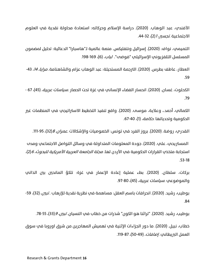الأفندي، عبد الوهاب. (2020). دراسة الإسلام وحركاته: استعادة محاولة نقدية في العلوم الاجتماعية .*تجسي ، 1* (2)، 32-44.

التميمي، نواف. (2020). إسرائيل ونتفليكس. منصة عالمية لـ"هاسبارا" الدعائية: تحليل لمضمون المسلسل التلفزيوني الإسرائيلي "فوضت". *لباب*، (6)، 169-198.

العطار، عاطف بطرس. (2020). الترجمة المستحيلة: عبد الوهاب عزام والشاهنامة. *مرايا، 14*، 43-.59

الكحلوت، غسان. (2020). انحسار الفضاء الإنساني في غزة تحت الحصار .*سياسات عربية،* (45)، 67 -.79

الكمالي، أحمد،. وعلاية، موسى. (2020). واقع تنفيذ التخطيط الاستراتيجي في المنظمات غير الحكومية وتحدياتها .*حكامة،* (1)، 40-67.

القدري، روضة. (2020). بروز الفرد في تونس: الخصوصيات والإشكالات .*عمران، 8*(32)، 95-111.

المستريحي، علي. (2020). جودة المعلومات المتداولة في وسائل التواصل الاجتماعي ومدب استجابة متخذي القرارات الحكومية في الأردن لها. *مجلة الجامعة العربية الأمريكية للبحوث، 6*(2)، .53-18

بركات، سلطان. (2020). بطء عملية إعادة الإعمار في غزة: تلكؤ المانحين بين الذاتي والموضوعي .*سياسات عربية*، (45)، 80-97.

بوطيب، رشيد. (2020). انحرافات باسم العقل: مساهمة في نظرية نقدية للإرهاب . *تبين*، (32)، 59-.84

بوطيب، رشيد. (2020). "تراثنا هو الكون" شذرات من خطاب في النسيان. *تبين، 9*(33)، 55-78.

خطاب، نبيل. (2020). ما دور الجزاءات الإثنية في تهميش المهاجرين من شرق اوروبا في سوق العمل البريطاني. *إضافات*، (49-50)، 87-119.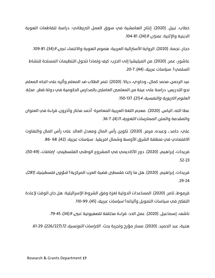خطاب، نبيل. (2020). إنتاج الهامشية في سوق العمل البريطاني: دراسة لتقاطعات الهوية الدينية والإثنية. *عمران، 9*(34)، 81-104.

حجار، نجمة. (2020). الرواية الأسترالية العربية: هموم الهوية والانتماء .*تبين، 9*(34)، 81-109.

عاشور، عمر. (2020). من الميليشيا إلى الحزب: كيف ولماذا تتتحول التنظيمات المسلحة للنشاط السلمي؟. *سياسات عربية*، (44)، 7-20.

عبد الرحمن، محمد كمال. ، وحاوي، ديالا. (2020). تنمر الطلاب ضد المعلم وأثره على اتجاه المعلم نحو التدر�س: دراسة على عينة من المعلمين العاملين بالمدارس الحكومية في دولة قطر. مجلة العلوم التربوية والنفسية، 4(21)، 137-150.

عطا الله، الياس. (2020). معجم اللغة العربية المعاصرة- أحمد مختار وآخرون، قراءة في العنوان والمقدمة والمتن. *الممارسات اللغوية، 11*(4)، 7-36.

علي، حامد،، وعبده، مرمر. (2020). تكوين رأس المال ومعدل العائد على رأس المال والتفاوت الاقتصادي في منطقة الشرق الأوسط وشمال افريقيا. *سياسات عربية*، (42)، 68 -86.

فريحات، إبراهيم. (2020). دور الأكاديمي في المشروع الوطني الفلسطيني. *إضافات*، (49-50)، .52-23

فريحات، إبراهيم. (2020). هل ما زالت فلسطين قضية العرب المركزية؟ *شؤون فلسطينية، (281)،* .29-24

قرموط، تامر. (2020). المساعدات الدولية لغزة وفق الشروط الإسرائيلية: هل حان الوقت لإعادة التفكي في سياسات التمويل وآلياته؟ *سياسات عربية،* (45)، 99-110.

ناشف، إسماعيل. (2020). عمل الحد: قراءة مختلفة للصهيونية .*تبين، 9*(34)، 45-79.

هنية، عبد الحميد. (2020). مسار مؤرخ وتجربة بحث. *الكراسات التونسية، 72 (226\*226)، 10-61.